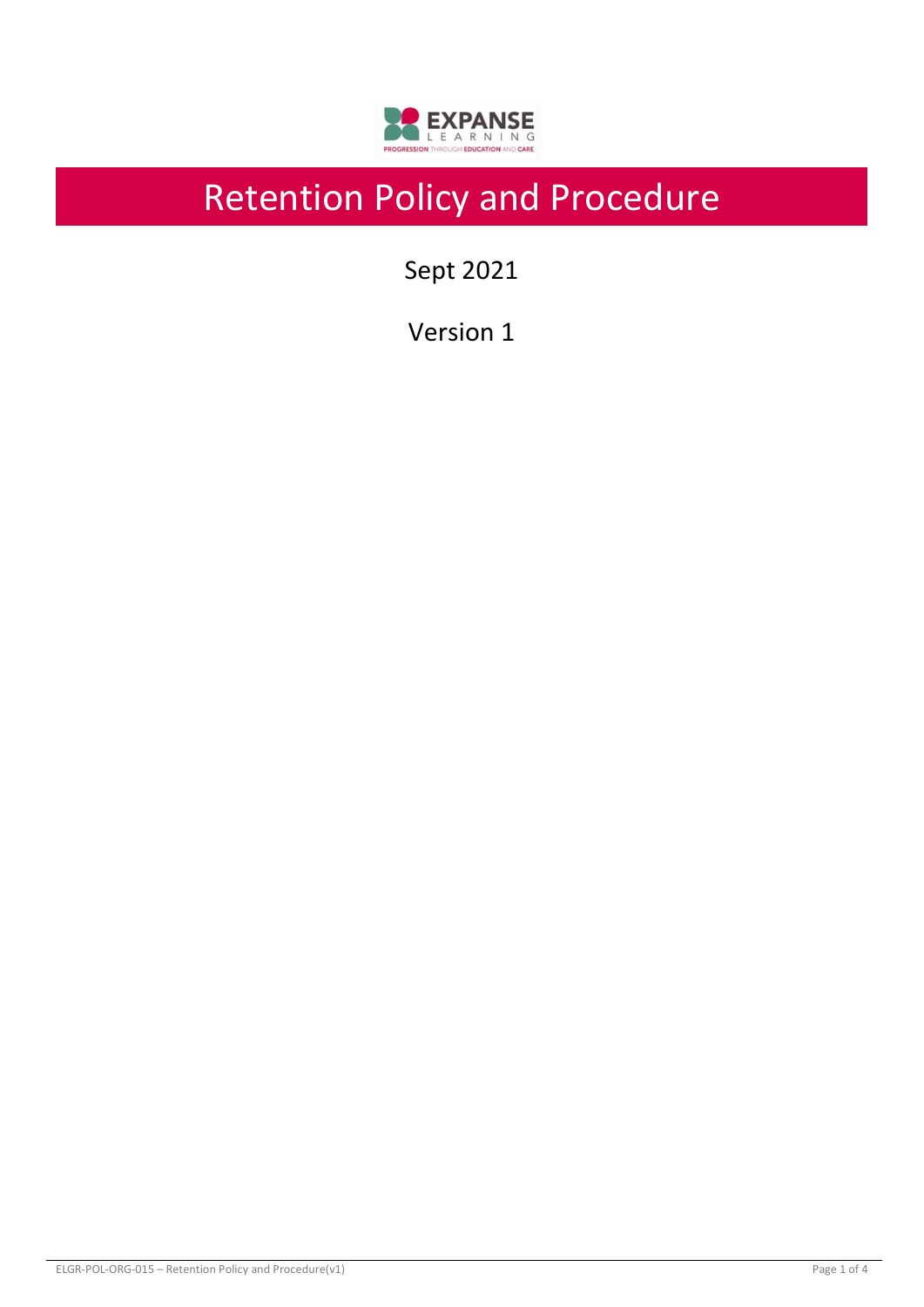

# Retention Policy and Procedure

Sept 2021

Version 1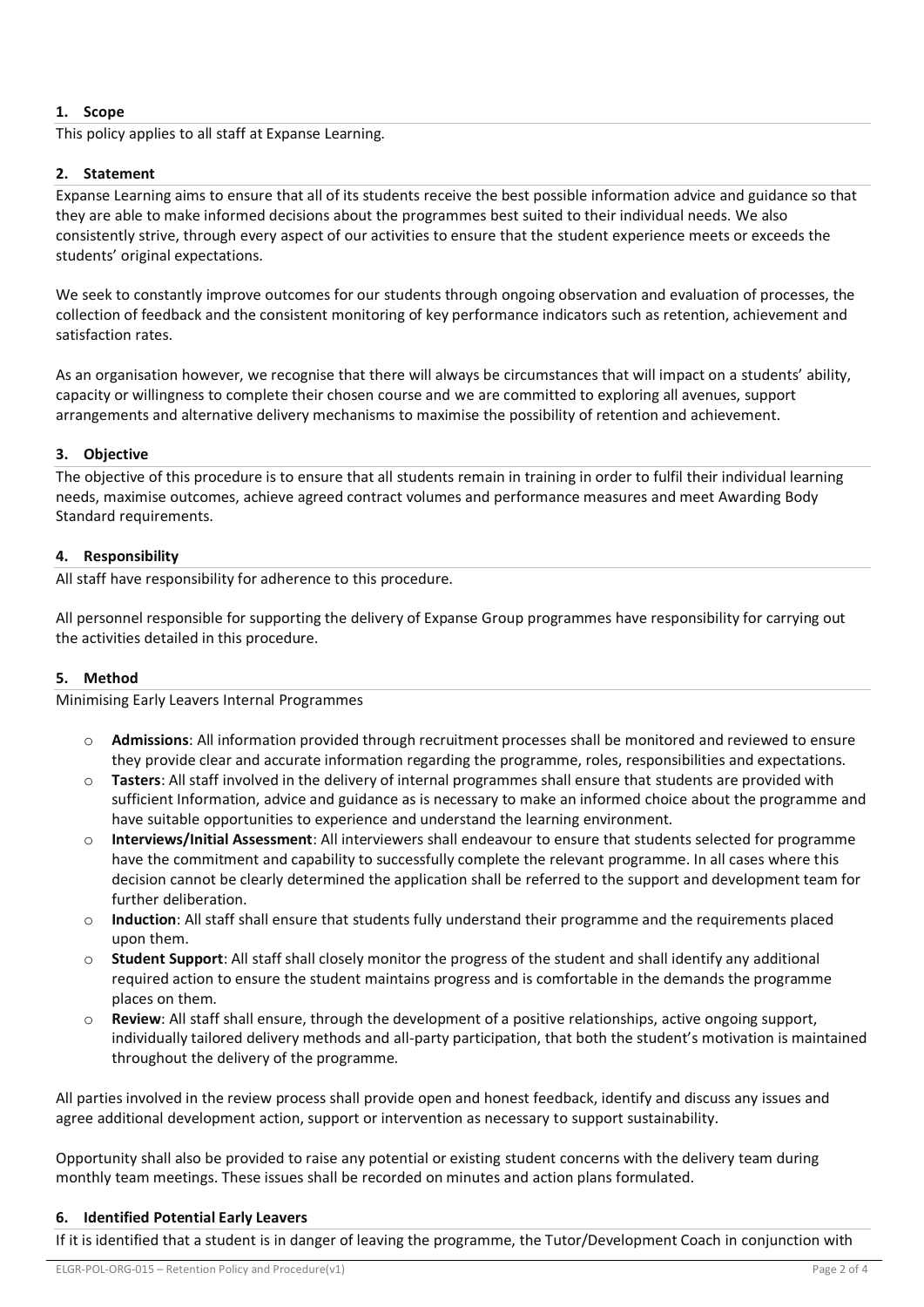# **1. Scope**

This policy applies to all staff at Expanse Learning.

## **2. Statement**

Expanse Learning aims to ensure that all of its students receive the best possible information advice and guidance so that they are able to make informed decisions about the programmes best suited to their individual needs. We also consistently strive, through every aspect of our activities to ensure that the student experience meets or exceeds the students' original expectations.

We seek to constantly improve outcomes for our students through ongoing observation and evaluation of processes, the collection of feedback and the consistent monitoring of key performance indicators such as retention, achievement and satisfaction rates.

As an organisation however, we recognise that there will always be circumstances that will impact on a students' ability, capacity or willingness to complete their chosen course and we are committed to exploring all avenues, support arrangements and alternative delivery mechanisms to maximise the possibility of retention and achievement.

### **3. Objective**

The objective of this procedure is to ensure that all students remain in training in order to fulfil their individual learning needs, maximise outcomes, achieve agreed contract volumes and performance measures and meet Awarding Body Standard requirements.

### **4. Responsibility**

All staff have responsibility for adherence to this procedure.

All personnel responsible for supporting the delivery of Expanse Group programmes have responsibility for carrying out the activities detailed in this procedure.

### **5. Method**

Minimising Early Leavers Internal Programmes

- o **Admissions**: All information provided through recruitment processes shall be monitored and reviewed to ensure they provide clear and accurate information regarding the programme, roles, responsibilities and expectations.
- o **Tasters**: All staff involved in the delivery of internal programmes shall ensure that students are provided with sufficient Information, advice and guidance as is necessary to make an informed choice about the programme and have suitable opportunities to experience and understand the learning environment.
- Interviews/Initial Assessment: All interviewers shall endeavour to ensure that students selected for programme have the commitment and capability to successfully complete the relevant programme. In all cases where this decision cannot be clearly determined the application shall be referred to the support and development team for further deliberation.
- o **Induction**: All staff shall ensure that students fully understand their programme and the requirements placed upon them.
- o **Student Support**: All staff shall closely monitor the progress of the student and shall identify any additional required action to ensure the student maintains progress and is comfortable in the demands the programme places on them.
- o **Review**: All staff shall ensure, through the development of a positive relationships, active ongoing support, individually tailored delivery methods and all-party participation, that both the student's motivation is maintained throughout the delivery of the programme.

All parties involved in the review process shall provide open and honest feedback, identify and discuss any issues and agree additional development action, support or intervention as necessary to support sustainability.

Opportunity shall also be provided to raise any potential or existing student concerns with the delivery team during monthly team meetings. These issues shall be recorded on minutes and action plans formulated.

### **6. Identified Potential Early Leavers**

If it is identified that a student is in danger of leaving the programme, the Tutor/Development Coach in conjunction with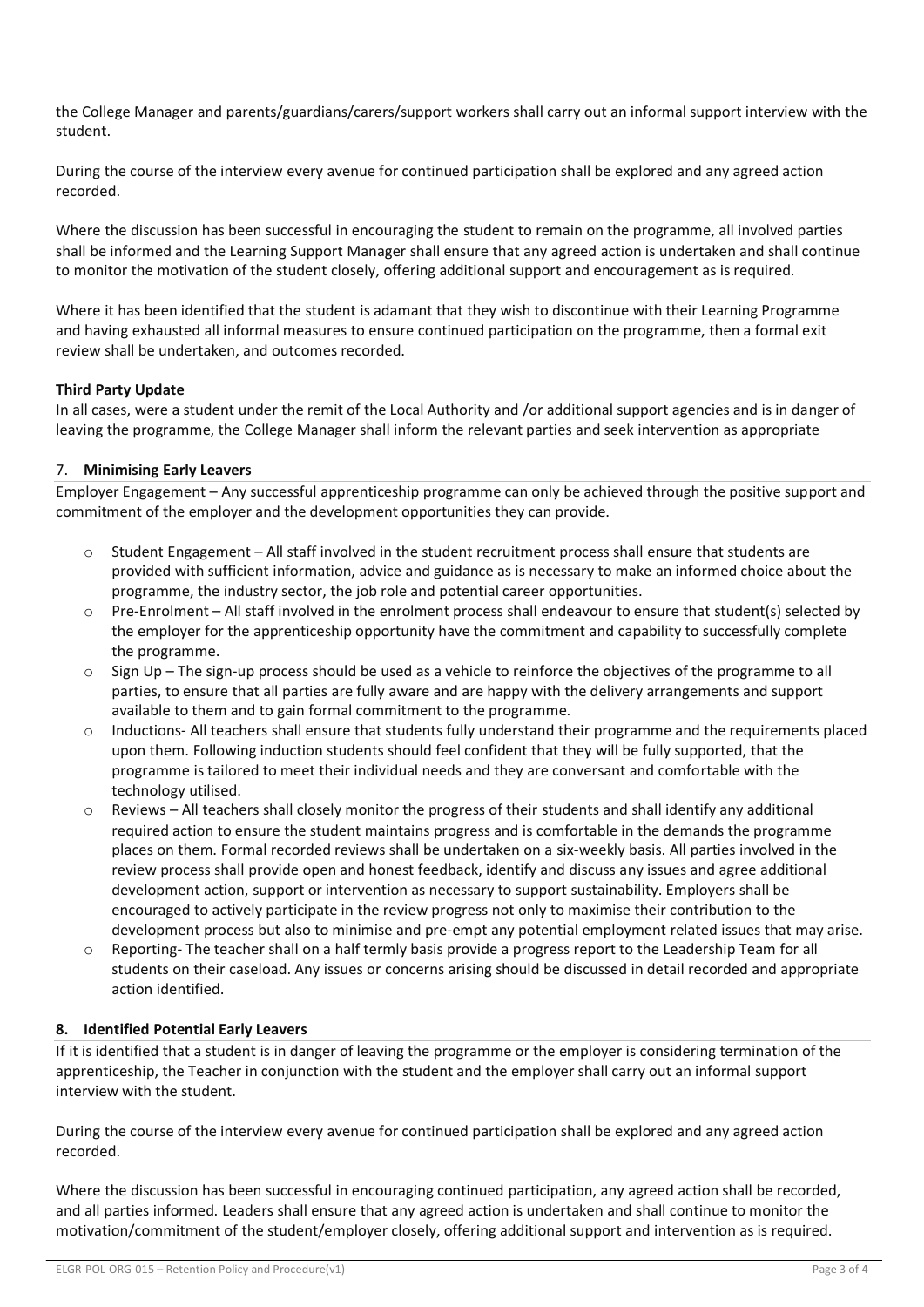the College Manager and parents/guardians/carers/support workers shall carry out an informal support interview with the student.

During the course of the interview every avenue for continued participation shall be explored and any agreed action recorded.

Where the discussion has been successful in encouraging the student to remain on the programme, all involved parties shall be informed and the Learning Support Manager shall ensure that any agreed action is undertaken and shall continue to monitor the motivation of the student closely, offering additional support and encouragement as is required.

Where it has been identified that the student is adamant that they wish to discontinue with their Learning Programme and having exhausted all informal measures to ensure continued participation on the programme, then a formal exit review shall be undertaken, and outcomes recorded.

### **Third Party Update**

In all cases, were a student under the remit of the Local Authority and /or additional support agencies and is in danger of leaving the programme, the College Manager shall inform the relevant parties and seek intervention as appropriate

# 7. **Minimising Early Leavers**

Employer Engagement – Any successful apprenticeship programme can only be achieved through the positive support and commitment of the employer and the development opportunities they can provide.

- Student Engagement All staff involved in the student recruitment process shall ensure that students are provided with sufficient information, advice and guidance as is necessary to make an informed choice about the programme, the industry sector, the job role and potential career opportunities.
- o Pre-Enrolment All staff involved in the enrolment process shall endeavour to ensure that student(s) selected by the employer for the apprenticeship opportunity have the commitment and capability to successfully complete the programme.
- o Sign Up The sign-up process should be used as a vehicle to reinforce the objectives of the programme to all parties, to ensure that all parties are fully aware and are happy with the delivery arrangements and support available to them and to gain formal commitment to the programme.
- Inductions- All teachers shall ensure that students fully understand their programme and the requirements placed upon them. Following induction students should feel confident that they will be fully supported, that the programme is tailored to meet their individual needs and they are conversant and comfortable with the technology utilised.
- $\circ$  Reviews All teachers shall closely monitor the progress of their students and shall identify any additional required action to ensure the student maintains progress and is comfortable in the demands the programme places on them. Formal recorded reviews shall be undertaken on a six-weekly basis. All parties involved in the review process shall provide open and honest feedback, identify and discuss any issues and agree additional development action, support or intervention as necessary to support sustainability. Employers shall be encouraged to actively participate in the review progress not only to maximise their contribution to the development process but also to minimise and pre-empt any potential employment related issues that may arise.
- $\circ$  Reporting- The teacher shall on a half termly basis provide a progress report to the Leadership Team for all students on their caseload. Any issues or concerns arising should be discussed in detail recorded and appropriate action identified.

### **8. Identified Potential Early Leavers**

If it is identified that a student is in danger of leaving the programme or the employer is considering termination of the apprenticeship, the Teacher in conjunction with the student and the employer shall carry out an informal support interview with the student.

During the course of the interview every avenue for continued participation shall be explored and any agreed action recorded.

Where the discussion has been successful in encouraging continued participation, any agreed action shall be recorded, and all parties informed. Leaders shall ensure that any agreed action is undertaken and shall continue to monitor the motivation/commitment of the student/employer closely, offering additional support and intervention as is required.